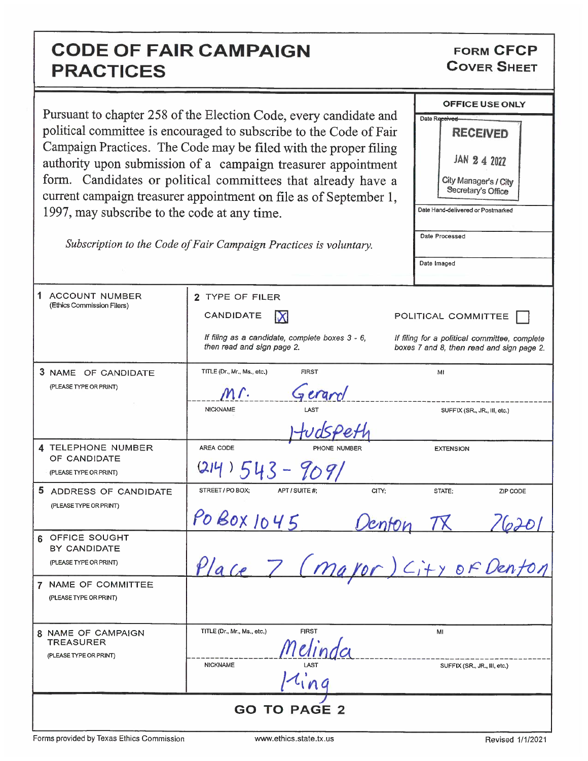## CODE OF FAIR CAMPAIGN PRACTICES

FORM CFCP COVER SHEET

| 1997, may subscribe to the code at any time.                 | Pursuant to chapter 258 of the Election Code, every candidate and<br>political committee is encouraged to subscribe to the Code of Fair<br>Campaign Practices. The Code may be filed with the proper filing<br>authority upon submission of a campaign treasurer appointment<br>form. Candidates or political committees that already have a<br>current campaign treasurer appointment on file as of September 1,<br>Subscription to the Code of Fair Campaign Practices is voluntary. | <b>OFFICE USE ONLY</b><br>Date Received<br><b>RECEIVED</b><br>$JAN$ 2 4 2022<br>City Manager's / City<br>Secretary's Office<br>Date Hand-delivered or Postmarked<br>Date Processed<br>Date Imaged |
|--------------------------------------------------------------|----------------------------------------------------------------------------------------------------------------------------------------------------------------------------------------------------------------------------------------------------------------------------------------------------------------------------------------------------------------------------------------------------------------------------------------------------------------------------------------|---------------------------------------------------------------------------------------------------------------------------------------------------------------------------------------------------|
| 1.<br><b>ACCOUNT NUMBER</b><br>(Ethics Commission Filers)    | 2 TYPE OF FILER<br>CANDIDATE<br>IX<br>If filing as a candidate, complete boxes 3 - 6,<br>then read and sign page 2.                                                                                                                                                                                                                                                                                                                                                                    | POLITICAL COMMITTEE<br>If filing for a political committee, complete<br>boxes 7 and 8, then read and sign page 2.                                                                                 |
| 3 NAME OF CANDIDATE<br>(PLEASE TYPE OR PRINT)                | TITLE (Dr., Mr., Ms., etc.)<br><b>FIRST</b><br>Geram<br>M r.<br><b>NICKNAME</b>                                                                                                                                                                                                                                                                                                                                                                                                        | MI<br>SUFFIX (SR., JR., III, etc.)                                                                                                                                                                |
| 4 TELEPHONE NUMBER<br>OF CANDIDATE<br>(PLEASE TYPE OR PRINT) | AREA CODE<br>PHONE NUMBER<br>$43 - 9091$                                                                                                                                                                                                                                                                                                                                                                                                                                               | <b>EXTENSION</b>                                                                                                                                                                                  |
| 5 ADDRESS OF CANDIDATE<br>(PLEASE TYPE OR PRINT)             | STREET / PO BOX:<br>CITY;<br>APT / SUITE #:<br>PO BOX 1045<br>enton                                                                                                                                                                                                                                                                                                                                                                                                                    | STATE:<br>ZIP CODE                                                                                                                                                                                |
| 6 OFFICE SOUGHT<br>BY CANDIDATE<br>(PLEASE TYPE OR PRINT)    | Place 7 (mayor) City of Denton                                                                                                                                                                                                                                                                                                                                                                                                                                                         |                                                                                                                                                                                                   |
| 7 NAME OF COMMITTEE<br>(PLEASE TYPE OR PRINT)                |                                                                                                                                                                                                                                                                                                                                                                                                                                                                                        |                                                                                                                                                                                                   |
| 8 NAME OF CAMPAIGN<br>TREASURER<br>(PLEASE TYPE OR PRINT)    | TITLE (Dr., Mr., Ms., etc.)<br><b>FIRST</b><br>Melinda<br><b>NICKNAME</b><br>$11$ ing                                                                                                                                                                                                                                                                                                                                                                                                  | MI<br>SUFFIX (SR., JR., III, etc.)                                                                                                                                                                |
| <b>GO TO PAGE 2</b>                                          |                                                                                                                                                                                                                                                                                                                                                                                                                                                                                        |                                                                                                                                                                                                   |